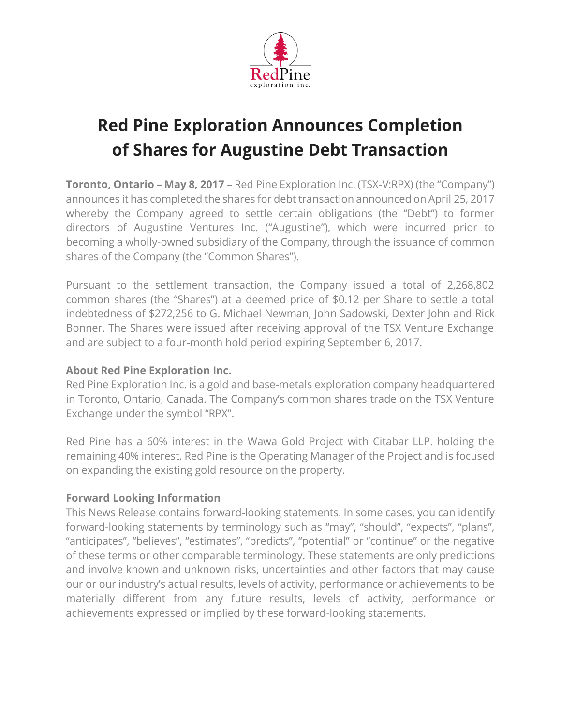

## **Red Pine Exploration Announces Completion of Shares for Augustine Debt Transaction**

**Toronto, Ontario – May 8, 2017** – Red Pine Exploration Inc. (TSX-V:RPX) (the "Company") announces it has completed the shares for debt transaction announced on April 25, 2017 whereby the Company agreed to settle certain obligations (the "Debt") to former directors of Augustine Ventures Inc. ("Augustine"), which were incurred prior to becoming a wholly-owned subsidiary of the Company, through the issuance of common shares of the Company (the "Common Shares").

Pursuant to the settlement transaction, the Company issued a total of 2,268,802 common shares (the "Shares") at a deemed price of \$0.12 per Share to settle a total indebtedness of \$272,256 to G. Michael Newman, John Sadowski, Dexter John and Rick Bonner. The Shares were issued after receiving approval of the TSX Venture Exchange and are subject to a four-month hold period expiring September 6, 2017.

## **About Red Pine Exploration Inc.**

Red Pine Exploration Inc. is a gold and base-metals exploration company headquartered in Toronto, Ontario, Canada. The Company's common shares trade on the TSX Venture Exchange under the symbol "RPX".

Red Pine has a 60% interest in the Wawa Gold Project with Citabar LLP. holding the remaining 40% interest. Red Pine is the Operating Manager of the Project and is focused on expanding the existing gold resource on the property.

## **Forward Looking Information**

This News Release contains forward-looking statements. In some cases, you can identify forward-looking statements by terminology such as "may", "should", "expects", "plans", "anticipates", "believes", "estimates", "predicts", "potential" or "continue" or the negative of these terms or other comparable terminology. These statements are only predictions and involve known and unknown risks, uncertainties and other factors that may cause our or our industry's actual results, levels of activity, performance or achievements to be materially different from any future results, levels of activity, performance or achievements expressed or implied by these forward-looking statements.